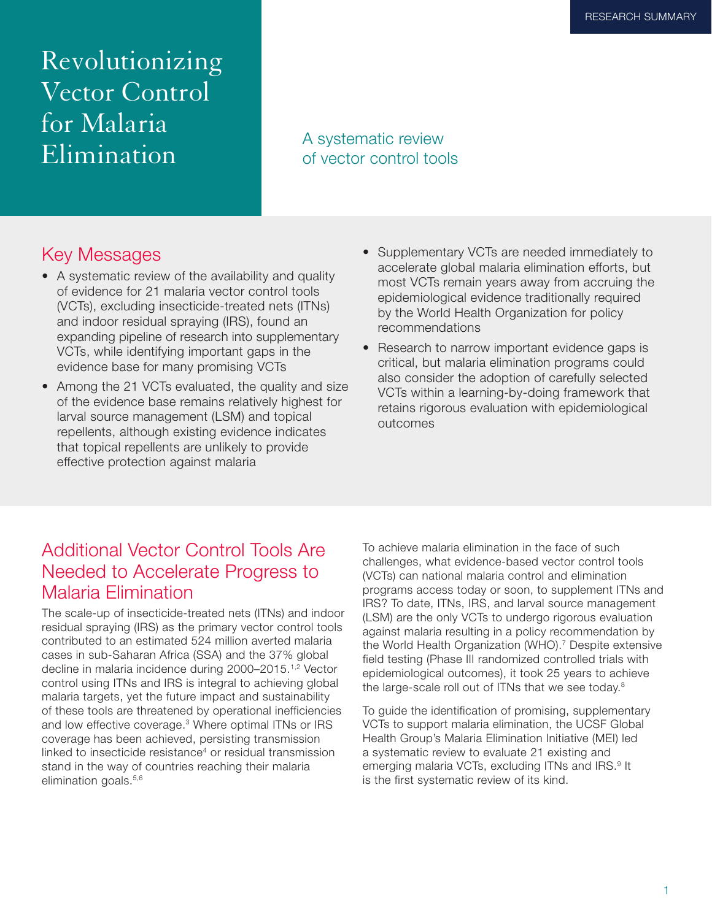Revolutionizing Vector Control for Malaria Elimination A systematic review<br> **Elimination** 

# of vector control tools

## Key Messages

- A systematic review of the availability and quality of evidence for 21 malaria vector control tools (VCTs), excluding insecticide-treated nets (ITNs) and indoor residual spraying (IRS), found an expanding pipeline of research into supplementary VCTs, while identifying important gaps in the evidence base for many promising VCTs
- Among the 21 VCTs evaluated, the quality and size of the evidence base remains relatively highest for larval source management (LSM) and topical repellents, although existing evidence indicates that topical repellents are unlikely to provide effective protection against malaria
- Supplementary VCTs are needed immediately to accelerate global malaria elimination efforts, but most VCTs remain years away from accruing the epidemiological evidence traditionally required by the World Health Organization for policy recommendations
- Research to narrow important evidence gaps is critical, but malaria elimination programs could also consider the adoption of carefully selected VCTs within a learning-by-doing framework that retains rigorous evaluation with epidemiological outcomes

### Additional Vector Control Tools Are Needed to Accelerate Progress to Malaria Elimination

The scale-up of insecticide-treated nets (ITNs) and indoor residual spraying (IRS) as the primary vector control tools contributed to an estimated 524 million averted malaria cases in sub-Saharan Africa (SSA) and the 37% global decline in malaria incidence during 2000–2015.1,2 Vector control using ITNs and IRS is integral to achieving global malaria targets, yet the future impact and sustainability of these tools are threatened by operational inefficiencies and low effective coverage.<sup>3</sup> Where optimal ITNs or IRS coverage has been achieved, persisting transmission linked to insecticide resistance<sup>4</sup> or residual transmission stand in the way of countries reaching their malaria elimination goals.<sup>5,6</sup>

To achieve malaria elimination in the face of such challenges, what evidence-based vector control tools (VCTs) can national malaria control and elimination programs access today or soon, to supplement ITNs and IRS? To date, ITNs, IRS, and larval source management (LSM) are the only VCTs to undergo rigorous evaluation against malaria resulting in a policy recommendation by the World Health Organization (WHO).<sup>7</sup> Despite extensive field testing (Phase III randomized controlled trials with epidemiological outcomes), it took 25 years to achieve the large-scale roll out of ITNs that we see today.<sup>8</sup>

To guide the identification of promising, supplementary VCTs to support malaria elimination, the UCSF Global Health Group's Malaria Elimination Initiative (MEI) led a systematic review to evaluate 21 existing and emerging malaria VCTs, excluding ITNs and IRS.<sup>9</sup> It is the first systematic review of its kind.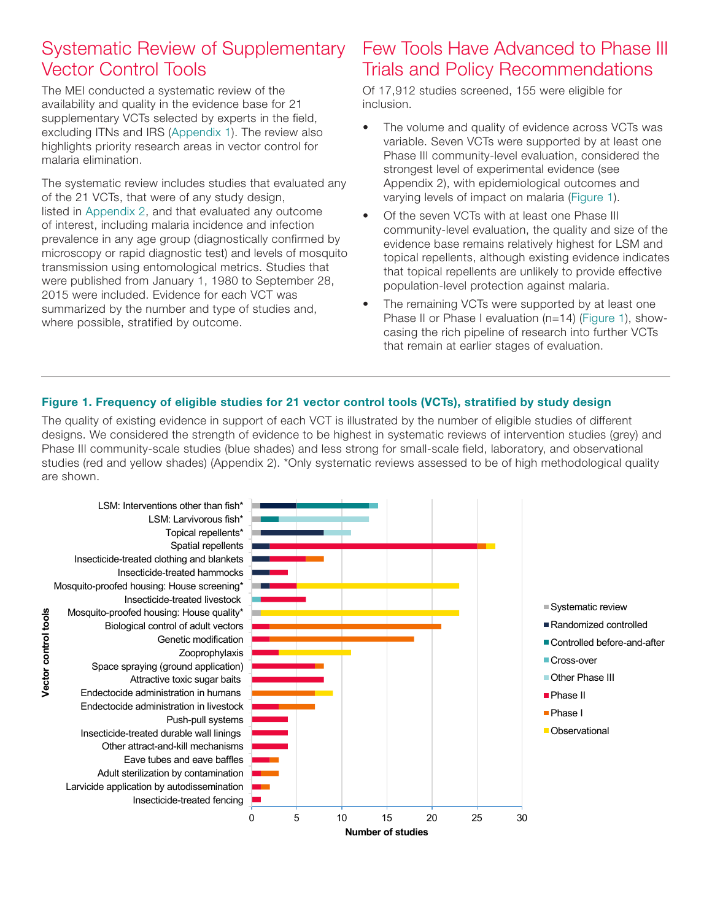## Systematic Review of Supplementary Vector Control Tools

The MEI conducted a systematic review of the availability and quality in the evidence base for 21 supplementary VCTs selected by experts in the field, excluding ITNs and IRS (Appendix 1). The review also highlights priority research areas in vector control for malaria elimination.

The systematic review includes studies that evaluated any of the 21 VCTs, that were of any study design, listed in Appendix 2, and that evaluated any outcome of interest, including malaria incidence and infection prevalence in any age group (diagnostically confirmed by microscopy or rapid diagnostic test) and levels of mosquito transmission using entomological metrics. Studies that were published from January 1, 1980 to September 28, 2015 were included. Evidence for each VCT was summarized by the number and type of studies and, where possible, stratified by outcome.

## Few Tools Have Advanced to Phase III Trials and Policy Recommendations

Of 17,912 studies screened, 155 were eligible for inclusion.

- The volume and quality of evidence across VCTs was variable. Seven VCTs were supported by at least one Phase III community-level evaluation, considered the strongest level of experimental evidence (see Appendix 2), with epidemiological outcomes and varying levels of impact on malaria (Figure 1).
- Of the seven VCTs with at least one Phase III community-level evaluation, the quality and size of the evidence base remains relatively highest for LSM and topical repellents, although existing evidence indicates that topical repellents are unlikely to provide effective population-level protection against malaria.
- The remaining VCTs were supported by at least one Phase II or Phase I evaluation (n=14) (Figure 1), showcasing the rich pipeline of research into further VCTs that remain at earlier stages of evaluation.

#### Figure 1. Frequency of eligible studies for 21 vector control tools (VCTs), stratified by study design

The quality of existing evidence in support of each VCT is illustrated by the number of eligible studies of different designs. We considered the strength of evidence to be highest in systematic reviews of intervention studies (grey) and Phase III community-scale studies (blue shades) and less strong for small-scale field, laboratory, and observational studies (red and yellow shades) (Appendix 2). \*Only systematic reviews assessed to be of high methodological quality are shown.

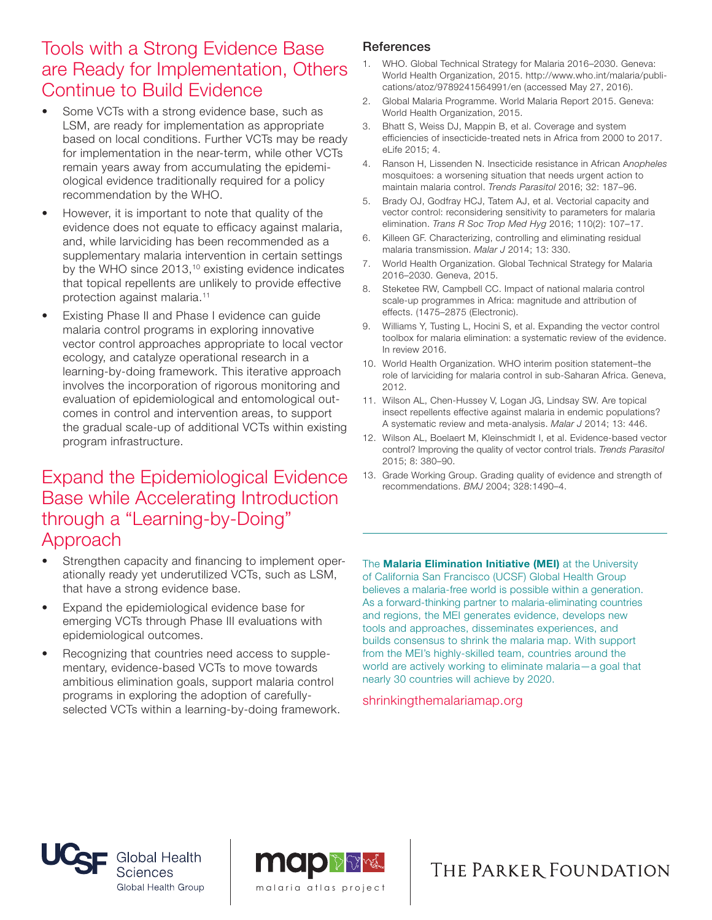### Tools with a Strong Evidence Base are Ready for Implementation, Others Continue to Build Evidence

- Some VCTs with a strong evidence base, such as LSM, are ready for implementation as appropriate based on local conditions. Further VCTs may be ready for implementation in the near-term, while other VCTs remain years away from accumulating the epidemiological evidence traditionally required for a policy recommendation by the WHO.
- However, it is important to note that quality of the evidence does not equate to efficacy against malaria, and, while larviciding has been recommended as a supplementary malaria intervention in certain settings by the WHO since 2013,<sup>10</sup> existing evidence indicates that topical repellents are unlikely to provide effective protection against malaria.11
- Existing Phase II and Phase I evidence can guide malaria control programs in exploring innovative vector control approaches appropriate to local vector ecology, and catalyze operational research in a learning-by-doing framework. This iterative approach involves the incorporation of rigorous monitoring and evaluation of epidemiological and entomological outcomes in control and intervention areas, to support the gradual scale-up of additional VCTs within existing program infrastructure.

#### Expand the Epidemiological Evidence Base while Accelerating Introduction through a "Learning-by-Doing" Approach

- Strengthen capacity and financing to implement operationally ready yet underutilized VCTs, such as LSM, that have a strong evidence base.
- Expand the epidemiological evidence base for emerging VCTs through Phase III evaluations with epidemiological outcomes.
- Recognizing that countries need access to supplementary, evidence-based VCTs to move towards ambitious elimination goals, support malaria control programs in exploring the adoption of carefullyselected VCTs within a learning-by-doing framework.

#### **References**

- 1. WHO. Global Technical Strategy for Malaria 2016–2030. Geneva: World Health Organization, 2015. http://www.who.int/malaria/publications/atoz/9789241564991/en (accessed May 27, 2016).
- 2. Global Malaria Programme. World Malaria Report 2015. Geneva: World Health Organization, 2015.
- 3. Bhatt S, Weiss DJ, Mappin B, et al. Coverage and system efficiencies of insecticide-treated nets in Africa from 2000 to 2017. eLife 2015; 4.
- 4. Ranson H, Lissenden N. Insecticide resistance in African A*nopheles* mosquitoes: a worsening situation that needs urgent action to maintain malaria control. *Trends Parasitol* 2016; 32: 187–96.
- 5. Brady OJ, Godfray HCJ, Tatem AJ, et al. Vectorial capacity and vector control: reconsidering sensitivity to parameters for malaria elimination. *Trans R Soc Trop Med Hyg* 2016; 110(2): 107–17.
- 6. Killeen GF. Characterizing, controlling and eliminating residual malaria transmission. *Malar J* 2014; 13: 330.
- 7. World Health Organization. Global Technical Strategy for Malaria 2016–2030. Geneva, 2015.
- 8. Steketee RW, Campbell CC. Impact of national malaria control scale-up programmes in Africa: magnitude and attribution of effects. (1475–2875 (Electronic).
- 9. Williams Y, Tusting L, Hocini S, et al. Expanding the vector control toolbox for malaria elimination: a systematic review of the evidence. In review 2016.
- 10. World Health Organization. WHO interim position statement–the role of larviciding for malaria control in sub-Saharan Africa. Geneva, 2012.
- 11. Wilson AL, Chen-Hussey V, Logan JG, Lindsay SW. Are topical insect repellents effective against malaria in endemic populations? A systematic review and meta-analysis. *Malar J* 2014; 13: 446.
- 12. Wilson AL, Boelaert M, Kleinschmidt I, et al. Evidence-based vector control? Improving the quality of vector control trials. *Trends Parasitol* 2015; 8: 380–90.
- 13. Grade Working Group. Grading quality of evidence and strength of recommendations. *BMJ* 2004; 328:1490–4.

The **Malaria Elimination Initiative (MEI)** at the University of California San Francisco (UCSF) Global Health Group believes a malaria-free world is possible within a generation. As a forward-thinking partner to malaria-eliminating countries and regions, the MEI generates evidence, develops new tools and approaches, disseminates experiences, and builds consensus to shrink the malaria map. With support from the MEI's highly-skilled team, countries around the world are actively working to eliminate malaria—a goal that nearly 30 countries will achieve by 2020.

shrinkingthemalariamap.org





## THE PARKER FOUNDATION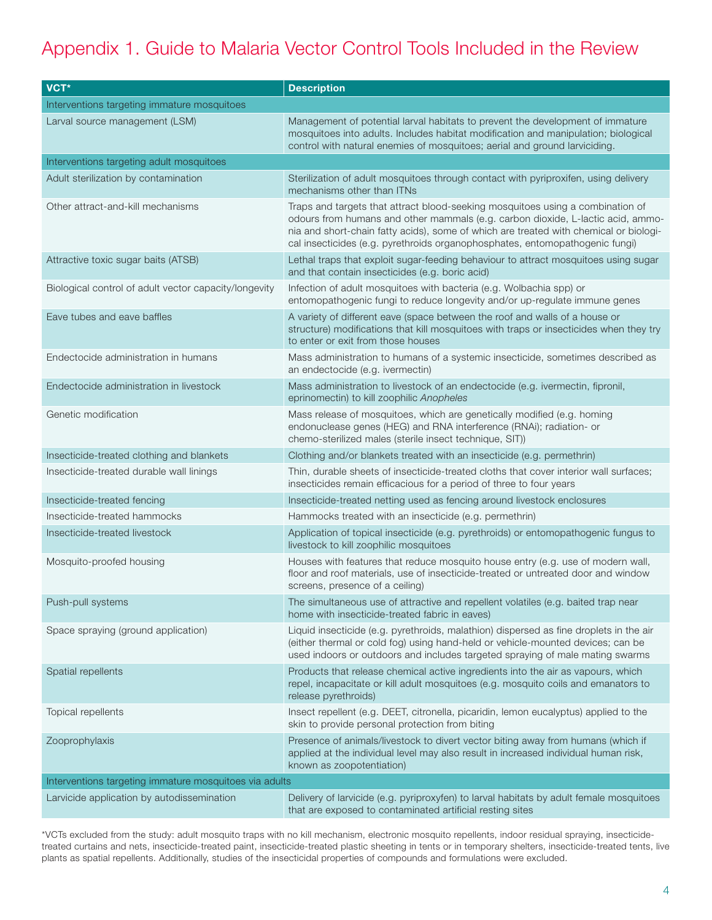# Appendix 1. Guide to Malaria Vector Control Tools Included in the Review

| VCT*                                                   | <b>Description</b>                                                                                                                                                                                                                                                                                                                         |  |
|--------------------------------------------------------|--------------------------------------------------------------------------------------------------------------------------------------------------------------------------------------------------------------------------------------------------------------------------------------------------------------------------------------------|--|
| Interventions targeting immature mosquitoes            |                                                                                                                                                                                                                                                                                                                                            |  |
| Larval source management (LSM)                         | Management of potential larval habitats to prevent the development of immature<br>mosquitoes into adults. Includes habitat modification and manipulation; biological<br>control with natural enemies of mosquitoes; aerial and ground larviciding.                                                                                         |  |
| Interventions targeting adult mosquitoes               |                                                                                                                                                                                                                                                                                                                                            |  |
| Adult sterilization by contamination                   | Sterilization of adult mosquitoes through contact with pyriproxifen, using delivery<br>mechanisms other than ITNs                                                                                                                                                                                                                          |  |
| Other attract-and-kill mechanisms                      | Traps and targets that attract blood-seeking mosquitoes using a combination of<br>odours from humans and other mammals (e.g. carbon dioxide, L-lactic acid, ammo-<br>nia and short-chain fatty acids), some of which are treated with chemical or biologi-<br>cal insecticides (e.g. pyrethroids organophosphates, entomopathogenic fungi) |  |
| Attractive toxic sugar baits (ATSB)                    | Lethal traps that exploit sugar-feeding behaviour to attract mosquitoes using sugar<br>and that contain insecticides (e.g. boric acid)                                                                                                                                                                                                     |  |
| Biological control of adult vector capacity/longevity  | Infection of adult mosquitoes with bacteria (e.g. Wolbachia spp) or<br>entomopathogenic fungi to reduce longevity and/or up-regulate immune genes                                                                                                                                                                                          |  |
| Eave tubes and eave baffles                            | A variety of different eave (space between the roof and walls of a house or<br>structure) modifications that kill mosquitoes with traps or insecticides when they try<br>to enter or exit from those houses                                                                                                                                |  |
| Endectocide administration in humans                   | Mass administration to humans of a systemic insecticide, sometimes described as<br>an endectocide (e.g. ivermectin)                                                                                                                                                                                                                        |  |
| Endectocide administration in livestock                | Mass administration to livestock of an endectocide (e.g. ivermectin, fipronil,<br>eprinomectin) to kill zoophilic Anopheles                                                                                                                                                                                                                |  |
| Genetic modification                                   | Mass release of mosquitoes, which are genetically modified (e.g. homing<br>endonuclease genes (HEG) and RNA interference (RNAi); radiation- or<br>chemo-sterilized males (sterile insect technique, SIT))                                                                                                                                  |  |
| Insecticide-treated clothing and blankets              | Clothing and/or blankets treated with an insecticide (e.g. permethrin)                                                                                                                                                                                                                                                                     |  |
| Insecticide-treated durable wall linings               | Thin, durable sheets of insecticide-treated cloths that cover interior wall surfaces;<br>insecticides remain efficacious for a period of three to four years                                                                                                                                                                               |  |
| Insecticide-treated fencing                            | Insecticide-treated netting used as fencing around livestock enclosures                                                                                                                                                                                                                                                                    |  |
| Insecticide-treated hammocks                           | Hammocks treated with an insecticide (e.g. permethrin)                                                                                                                                                                                                                                                                                     |  |
| Insecticide-treated livestock                          | Application of topical insecticide (e.g. pyrethroids) or entomopathogenic fungus to<br>livestock to kill zoophilic mosquitoes                                                                                                                                                                                                              |  |
| Mosquito-proofed housing                               | Houses with features that reduce mosquito house entry (e.g. use of modern wall,<br>floor and roof materials, use of insecticide-treated or untreated door and window<br>screens, presence of a ceiling)                                                                                                                                    |  |
| Push-pull systems                                      | The simultaneous use of attractive and repellent volatiles (e.g. baited trap near<br>home with insecticide-treated fabric in eaves)                                                                                                                                                                                                        |  |
| Space spraying (ground application)                    | Liquid insecticide (e.g. pyrethroids, malathion) dispersed as fine droplets in the air<br>(either thermal or cold fog) using hand-held or vehicle-mounted devices; can be<br>used indoors or outdoors and includes targeted spraying of male mating swarms                                                                                 |  |
| Spatial repellents                                     | Products that release chemical active ingredients into the air as vapours, which<br>repel, incapacitate or kill adult mosquitoes (e.g. mosquito coils and emanators to<br>release pyrethroids)                                                                                                                                             |  |
| Topical repellents                                     | Insect repellent (e.g. DEET, citronella, picaridin, lemon eucalyptus) applied to the<br>skin to provide personal protection from biting                                                                                                                                                                                                    |  |
| Zooprophylaxis                                         | Presence of animals/livestock to divert vector biting away from humans (which if<br>applied at the individual level may also result in increased individual human risk,<br>known as zoopotentiation)                                                                                                                                       |  |
| Interventions targeting immature mosquitoes via adults |                                                                                                                                                                                                                                                                                                                                            |  |
| Larvicide application by autodissemination             | Delivery of larvicide (e.g. pyriproxyfen) to larval habitats by adult female mosquitoes<br>that are exposed to contaminated artificial resting sites                                                                                                                                                                                       |  |

\*VCTs excluded from the study: adult mosquito traps with no kill mechanism, electronic mosquito repellents, indoor residual spraying, insecticidetreated curtains and nets, insecticide-treated paint, insecticide-treated plastic sheeting in tents or in temporary shelters, insecticide-treated tents, live plants as spatial repellents. Additionally, studies of the insecticidal properties of compounds and formulations were excluded.